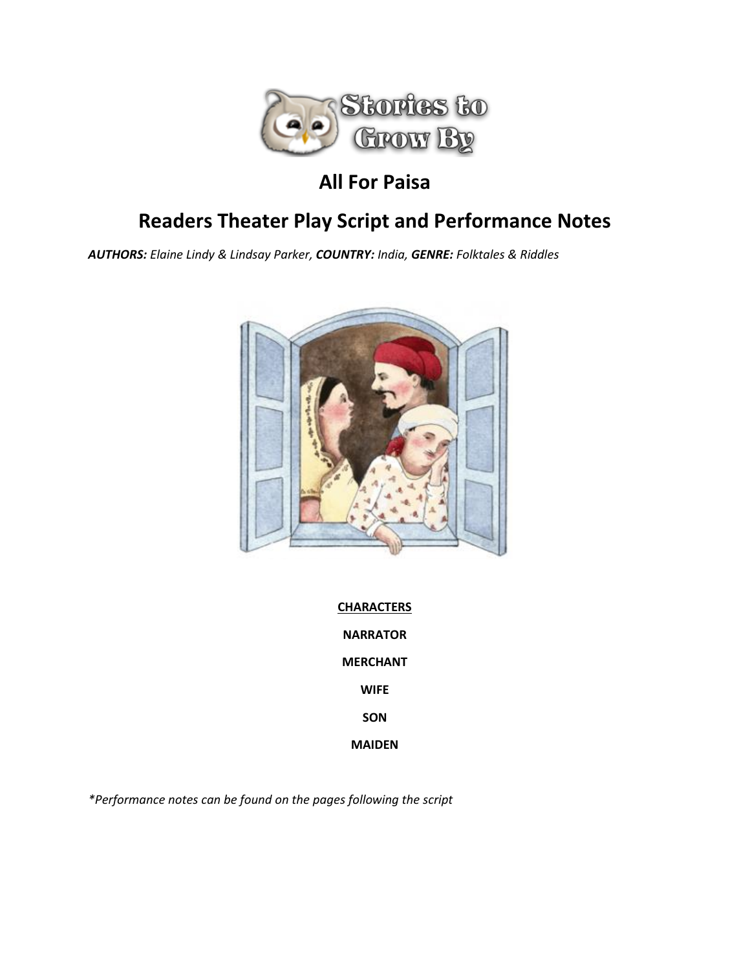

# **All For Paisa**

# **Readers Theater Play Script and Performance Notes**

*AUTHORS: Elaine Lindy & Lindsay Parker, COUNTRY: India, GENRE: Folktales & Riddles*



**CHARACTERS NARRATOR MERCHANT WIFE SON MAIDEN**

*\*Performance notes can be found on the pages following the script*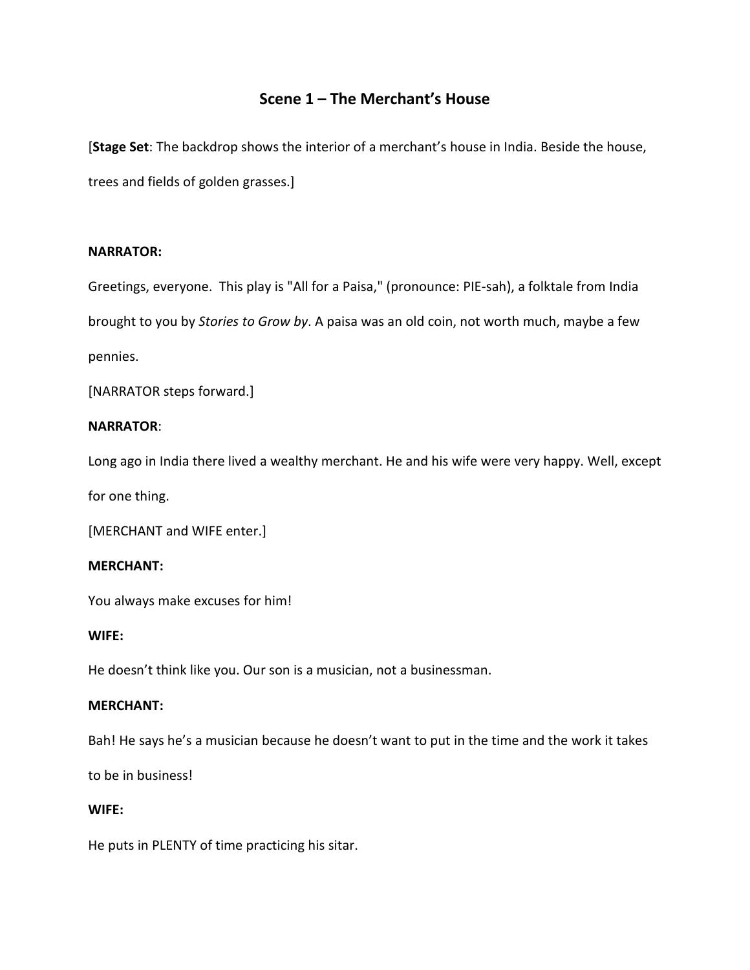## **Scene 1 – The Merchant's House**

[**Stage Set**: The backdrop shows the interior of a merchant's house in India. Beside the house, trees and fields of golden grasses.]

## **NARRATOR:**

Greetings, everyone. This play is "All for a Paisa," (pronounce: PIE-sah), a folktale from India brought to you by *Stories to Grow by*. A paisa was an old coin, not worth much, maybe a few pennies.

[NARRATOR steps forward.]

## **NARRATOR**:

Long ago in India there lived a wealthy merchant. He and his wife were very happy. Well, except

for one thing.

[MERCHANT and WIFE enter.]

## **MERCHANT:**

You always make excuses for him!

## **WIFE:**

He doesn't think like you. Our son is a musician, not a businessman.

## **MERCHANT:**

Bah! He says he's a musician because he doesn't want to put in the time and the work it takes

to be in business!

## **WIFE:**

He puts in PLENTY of time practicing his sitar.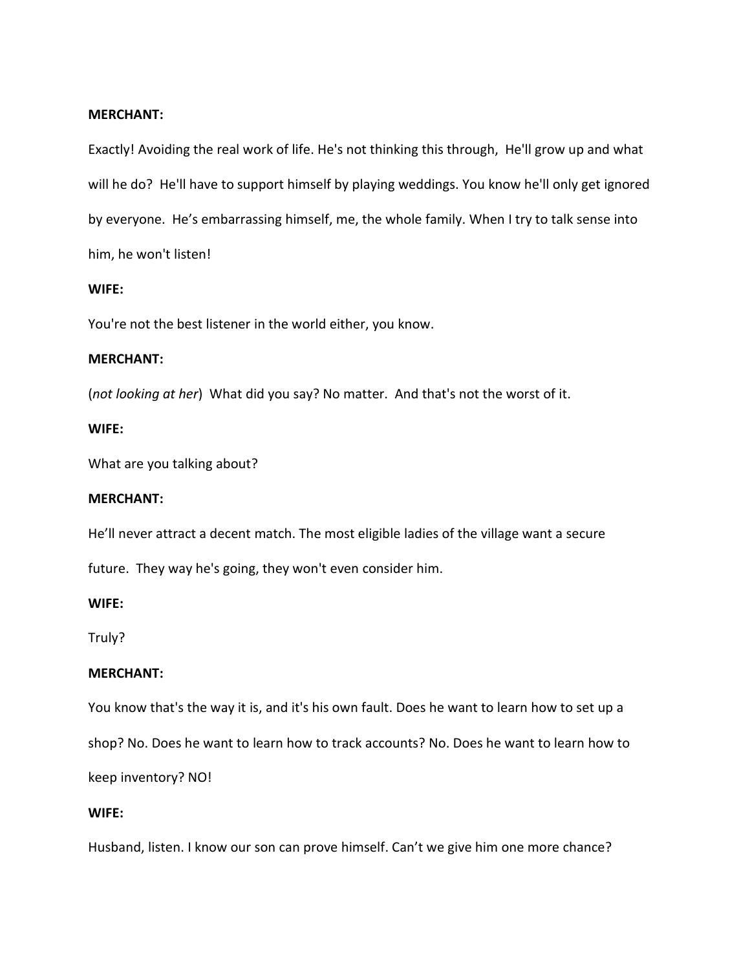#### **MERCHANT:**

Exactly! Avoiding the real work of life. He's not thinking this through, He'll grow up and what will he do? He'll have to support himself by playing weddings. You know he'll only get ignored by everyone. He's embarrassing himself, me, the whole family. When I try to talk sense into him, he won't listen!

#### **WIFE:**

You're not the best listener in the world either, you know.

#### **MERCHANT:**

(*not looking at her*) What did you say? No matter. And that's not the worst of it.

#### **WIFE:**

What are you talking about?

#### **MERCHANT:**

He'll never attract a decent match. The most eligible ladies of the village want a secure

future. They way he's going, they won't even consider him.

**WIFE:**

Truly?

#### **MERCHANT:**

You know that's the way it is, and it's his own fault. Does he want to learn how to set up a shop? No. Does he want to learn how to track accounts? No. Does he want to learn how to keep inventory? NO!

#### **WIFE:**

Husband, listen. I know our son can prove himself. Can't we give him one more chance?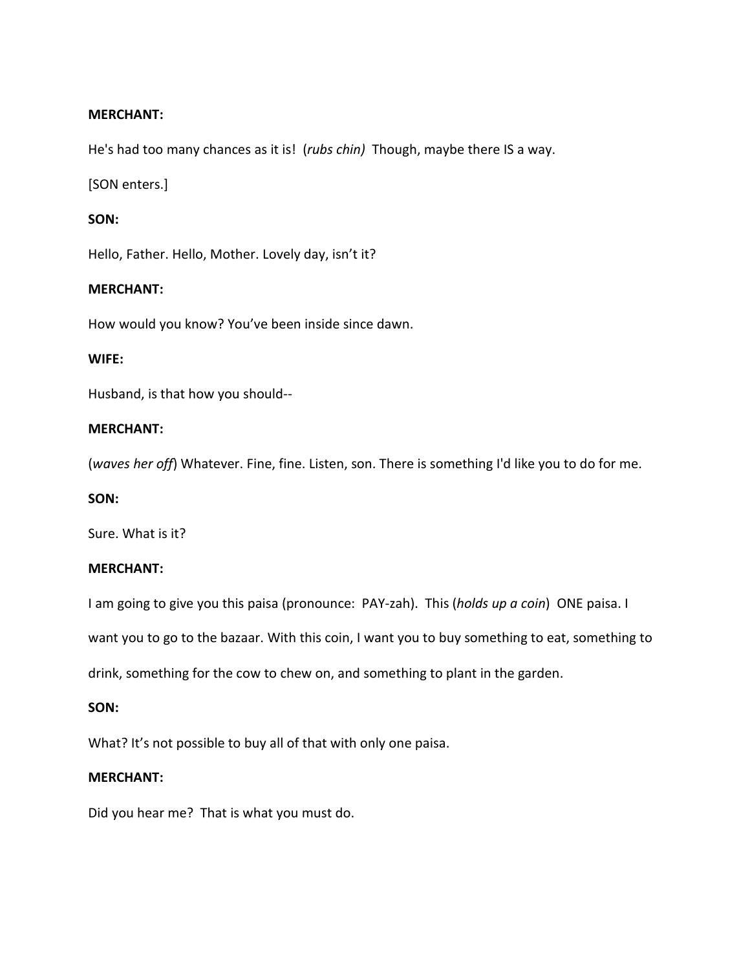## **MERCHANT:**

He's had too many chances as it is! (*rubs chin)* Though, maybe there IS a way.

[SON enters.]

#### **SON:**

Hello, Father. Hello, Mother. Lovely day, isn't it?

#### **MERCHANT:**

How would you know? You've been inside since dawn.

#### **WIFE:**

Husband, is that how you should--

#### **MERCHANT:**

(*waves her off*) Whatever. Fine, fine. Listen, son. There is something I'd like you to do for me.

#### **SON:**

Sure. What is it?

## **MERCHANT:**

I am going to give you this paisa (pronounce: PAY-zah). This (*holds up a coin*) ONE paisa. I

want you to go to the bazaar. With this coin, I want you to buy something to eat, something to

drink, something for the cow to chew on, and something to plant in the garden.

## **SON:**

What? It's not possible to buy all of that with only one paisa.

## **MERCHANT:**

Did you hear me? That is what you must do.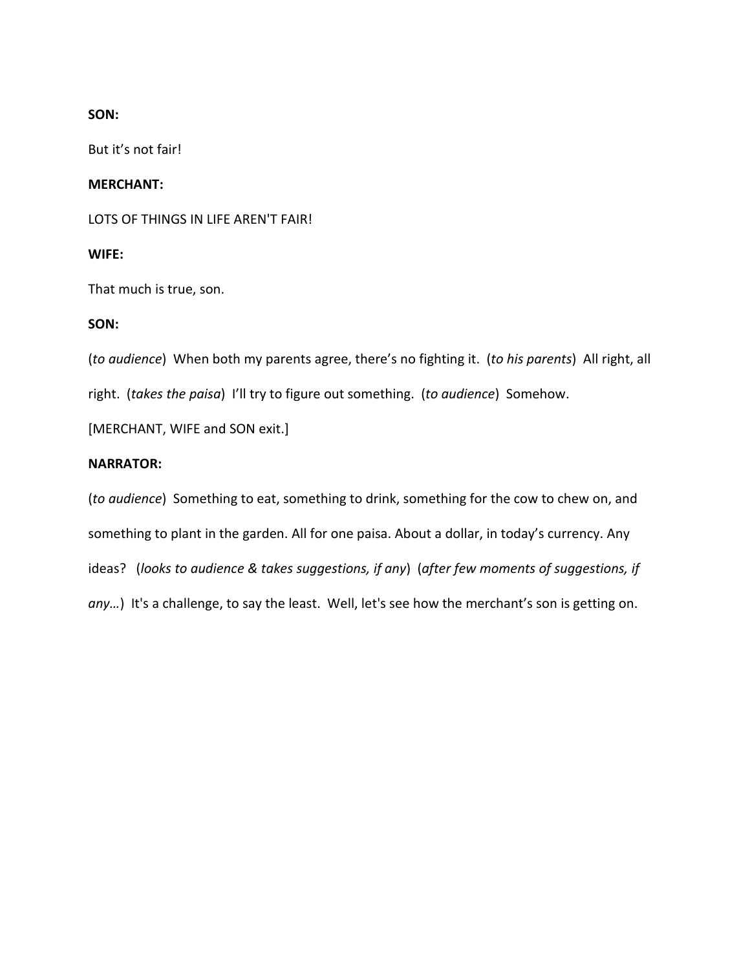## **SON:**

But it's not fair!

## **MERCHANT:**

LOTS OF THINGS IN LIFE AREN'T FAIR!

## **WIFE:**

That much is true, son.

## **SON:**

(*to audience*) When both my parents agree, there's no fighting it. (*to his parents*) All right, all right. (*takes the paisa*) I'll try to figure out something. (*to audience*) Somehow.

[MERCHANT, WIFE and SON exit.]

## **NARRATOR:**

(*to audience*) Something to eat, something to drink, something for the cow to chew on, and something to plant in the garden. All for one paisa. About a dollar, in today's currency. Any ideas? (*looks to audience & takes suggestions, if any*) (*after few moments of suggestions, if* any...) It's a challenge, to say the least. Well, let's see how the merchant's son is getting on.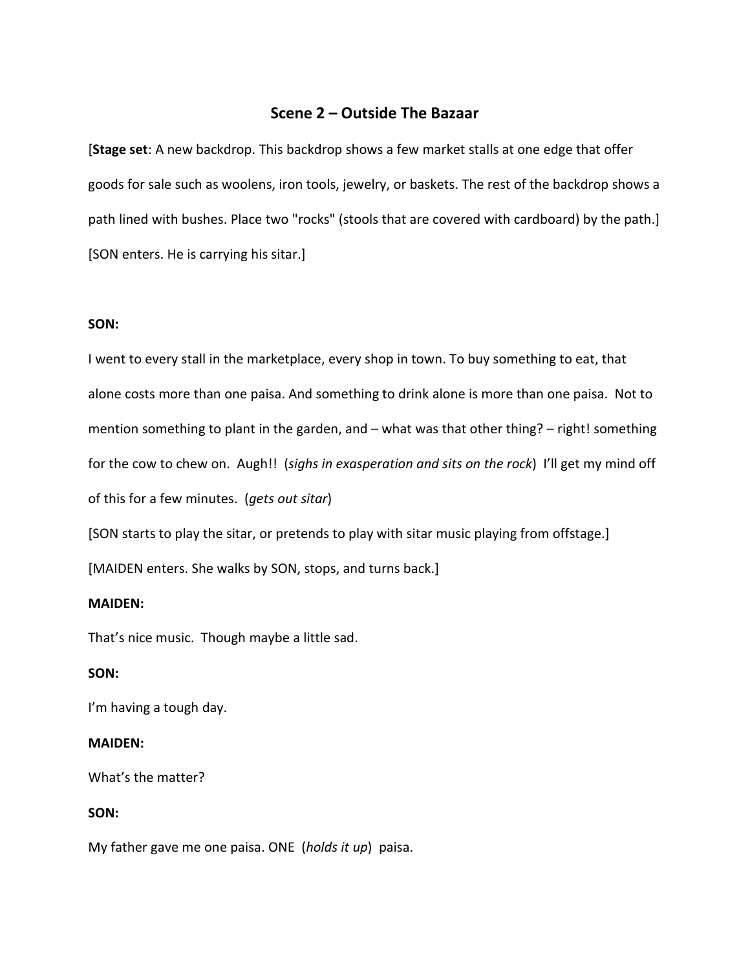## **Scene 2 – Outside The Bazaar**

[**Stage set**: A new backdrop. This backdrop shows a few market stalls at one edge that offer goods for sale such as woolens, iron tools, jewelry, or baskets. The rest of the backdrop shows a path lined with bushes. Place two "rocks" (stools that are covered with cardboard) by the path.] [SON enters. He is carrying his sitar.]

#### **SON:**

I went to every stall in the marketplace, every shop in town. To buy something to eat, that alone costs more than one paisa. And something to drink alone is more than one paisa. Not to mention something to plant in the garden, and – what was that other thing? – right! something for the cow to chew on. Augh!! (*sighs in exasperation and sits on the rock*) I'll get my mind off of this for a few minutes. (*gets out sitar*)

[SON starts to play the sitar, or pretends to play with sitar music playing from offstage.]

[MAIDEN enters. She walks by SON, stops, and turns back.]

#### **MAIDEN:**

That's nice music. Though maybe a little sad.

## **SON:**

I'm having a tough day.

#### **MAIDEN:**

What's the matter?

#### **SON:**

My father gave me one paisa. ONE (*holds it up*) paisa.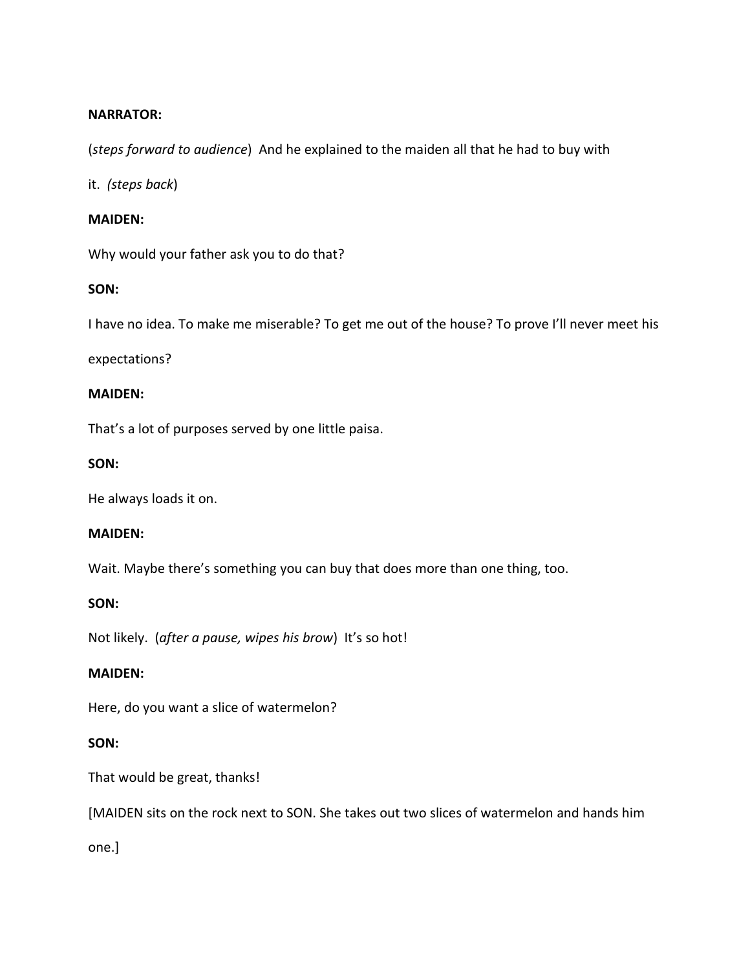## **NARRATOR:**

(*steps forward to audience*) And he explained to the maiden all that he had to buy with

it. *(steps back*)

## **MAIDEN:**

Why would your father ask you to do that?

## **SON:**

I have no idea. To make me miserable? To get me out of the house? To prove I'll never meet his

expectations?

## **MAIDEN:**

That's a lot of purposes served by one little paisa.

## **SON:**

He always loads it on.

## **MAIDEN:**

Wait. Maybe there's something you can buy that does more than one thing, too.

## **SON:**

Not likely. (*after a pause, wipes his brow*) It's so hot!

## **MAIDEN:**

Here, do you want a slice of watermelon?

## **SON:**

That would be great, thanks!

[MAIDEN sits on the rock next to SON. She takes out two slices of watermelon and hands him

one.]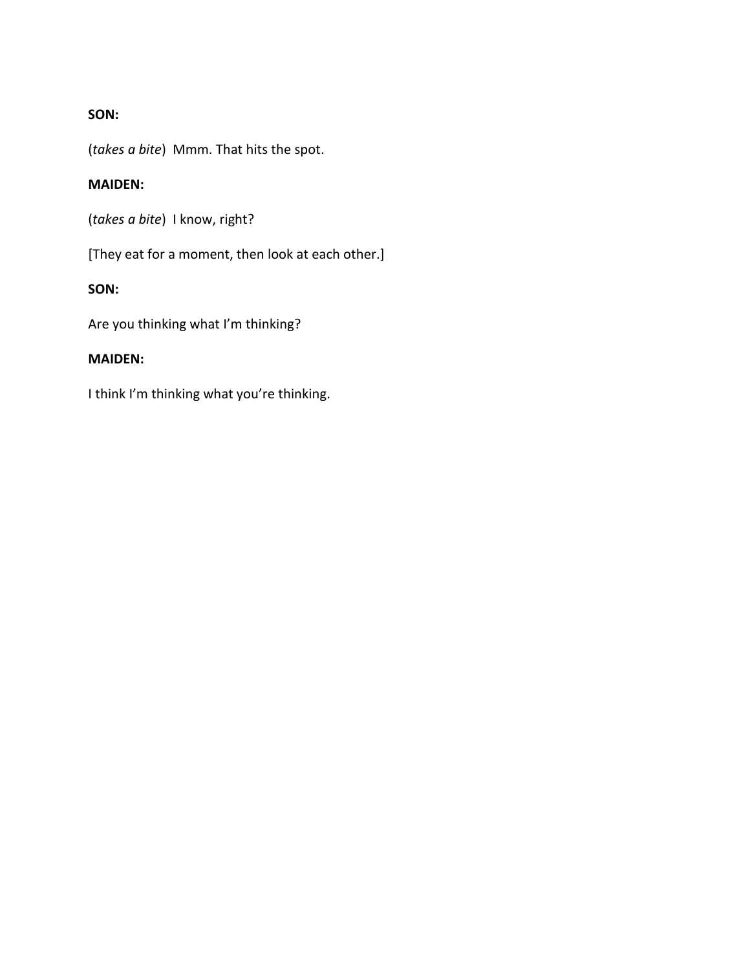## **SON:**

(*takes a bite*) Mmm. That hits the spot.

## **MAIDEN:**

(*takes a bite*) I know, right?

[They eat for a moment, then look at each other.]

## **SON:**

Are you thinking what I'm thinking?

## **MAIDEN:**

I think I'm thinking what you're thinking.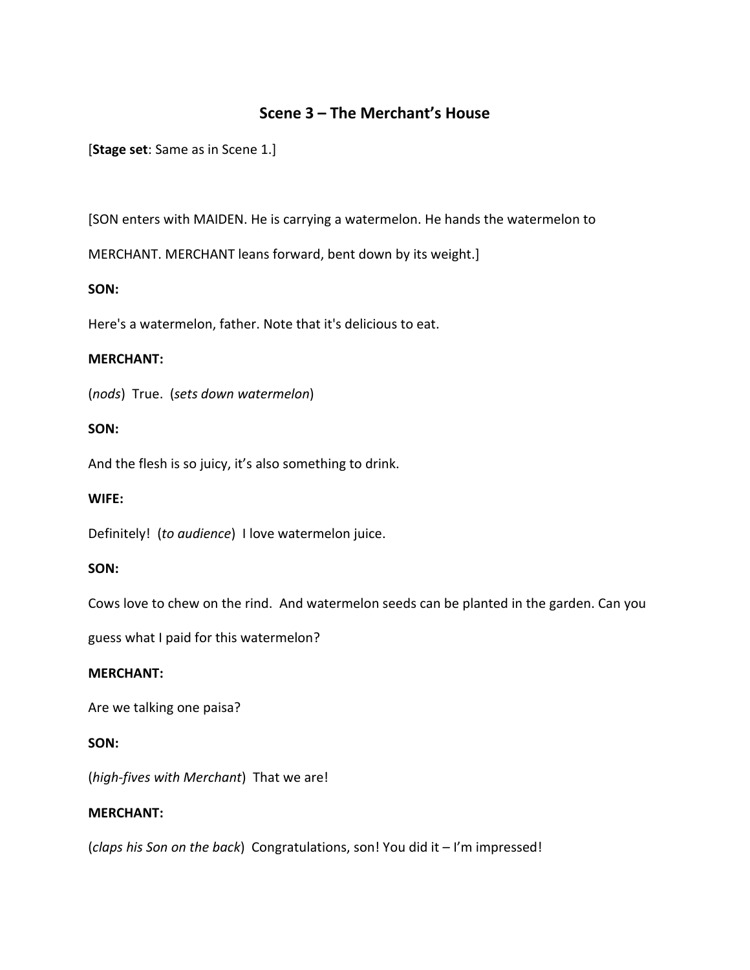## **Scene 3 – The Merchant's House**

[**Stage set**: Same as in Scene 1.]

[SON enters with MAIDEN. He is carrying a watermelon. He hands the watermelon to

MERCHANT. MERCHANT leans forward, bent down by its weight.]

## **SON:**

Here's a watermelon, father. Note that it's delicious to eat.

## **MERCHANT:**

(*nods*) True. (*sets down watermelon*)

## **SON:**

And the flesh is so juicy, it's also something to drink.

#### **WIFE:**

Definitely! (*to audience*) I love watermelon juice.

## **SON:**

Cows love to chew on the rind. And watermelon seeds can be planted in the garden. Can you

guess what I paid for this watermelon?

## **MERCHANT:**

Are we talking one paisa?

#### **SON:**

(*high-fives with Merchant*) That we are!

## **MERCHANT:**

(*claps his Son on the back*) Congratulations, son! You did it – I'm impressed!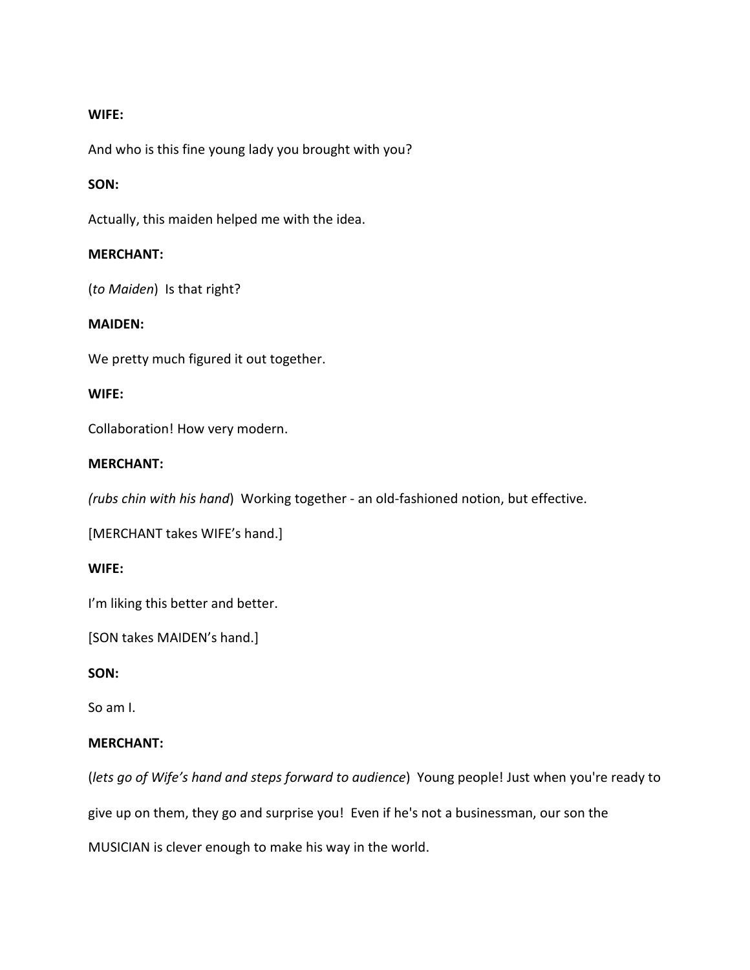## **WIFE:**

And who is this fine young lady you brought with you?

## **SON:**

Actually, this maiden helped me with the idea.

#### **MERCHANT:**

(*to Maiden*) Is that right?

## **MAIDEN:**

We pretty much figured it out together.

## **WIFE:**

Collaboration! How very modern.

## **MERCHANT:**

*(rubs chin with his hand*) Working together - an old-fashioned notion, but effective.

[MERCHANT takes WIFE's hand.]

## **WIFE:**

I'm liking this better and better.

[SON takes MAIDEN's hand.]

#### **SON:**

So am I.

## **MERCHANT:**

(*lets go of Wife's hand and steps forward to audience*) Young people! Just when you're ready to give up on them, they go and surprise you! Even if he's not a businessman, our son the MUSICIAN is clever enough to make his way in the world.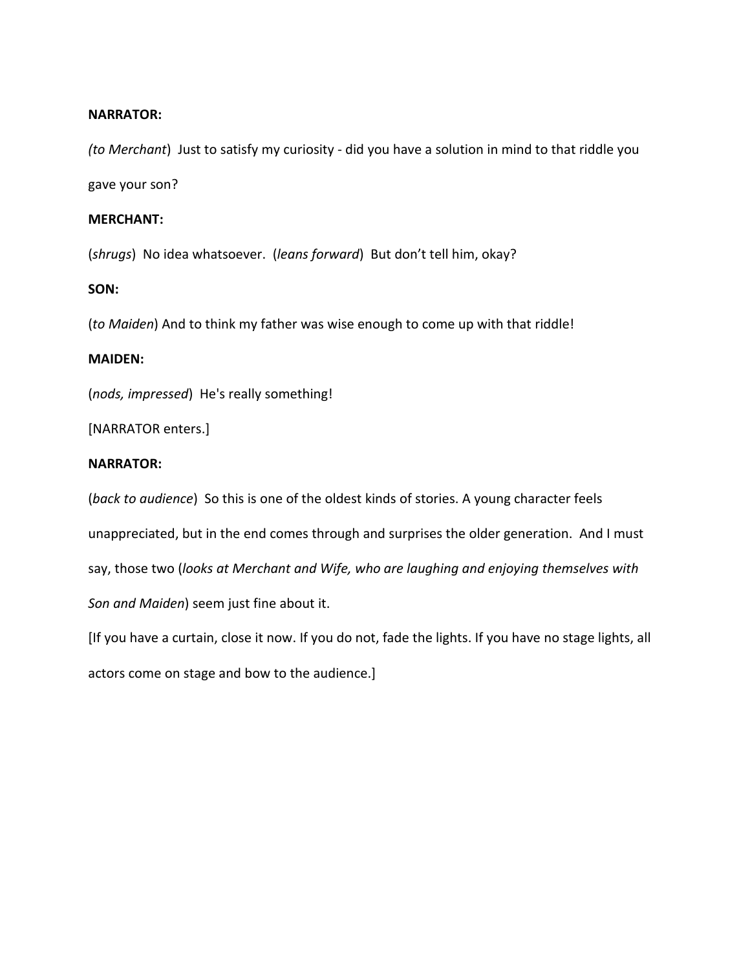#### **NARRATOR:**

*(to Merchant*) Just to satisfy my curiosity - did you have a solution in mind to that riddle you gave your son?

#### **MERCHANT:**

(*shrugs*) No idea whatsoever. (*leans forward*) But don't tell him, okay?

## **SON:**

(*to Maiden*) And to think my father was wise enough to come up with that riddle!

## **MAIDEN:**

(*nods, impressed*) He's really something!

[NARRATOR enters.]

## **NARRATOR:**

(*back to audience*) So this is one of the oldest kinds of stories. A young character feels unappreciated, but in the end comes through and surprises the older generation. And I must say, those two (*looks at Merchant and Wife, who are laughing and enjoying themselves with Son and Maiden*) seem just fine about it.

[If you have a curtain, close it now. If you do not, fade the lights. If you have no stage lights, all actors come on stage and bow to the audience.]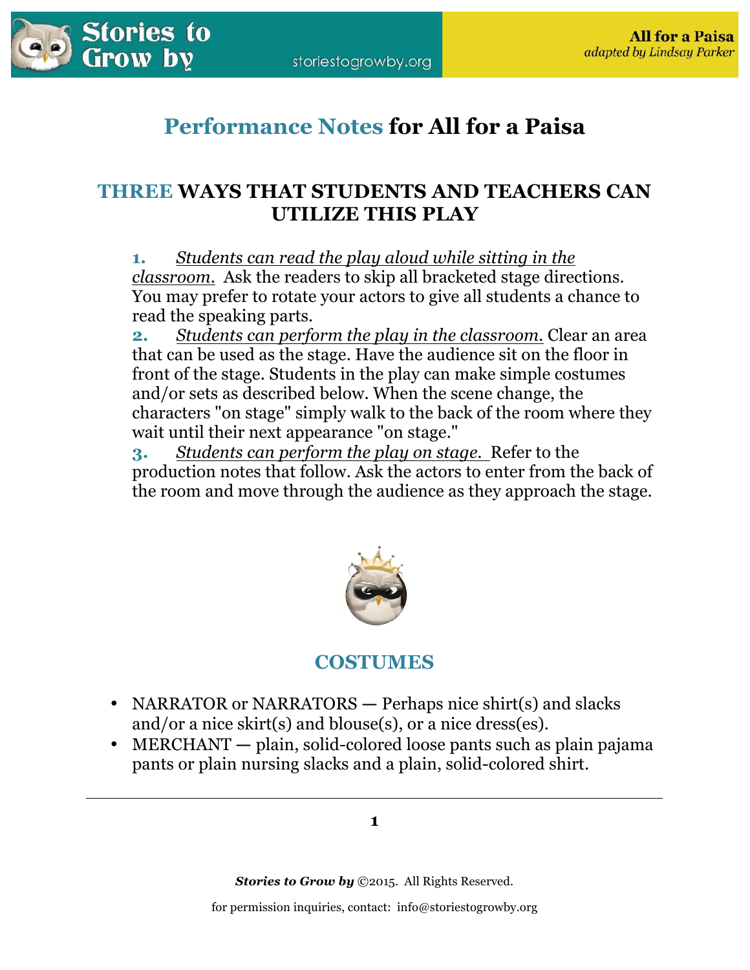

# **Performance Notes for All for a Paisa**

## **THREE WAYS THAT STUDENTS AND TEACHERS CAN UTILIZE THIS PLAY**

**1.** *Students can read the play aloud while sitting in the classroom.* Ask the readers to skip all bracketed stage directions. You may prefer to rotate your actors to give all students a chance to read the speaking parts.

**2.** *Students can perform the play in the classroom.* Clear an area that can be used as the stage. Have the audience sit on the floor in front of the stage. Students in the play can make simple costumes and/or sets as described below. When the scene change, the characters "on stage" simply walk to the back of the room where they wait until their next appearance "on stage."

**3.** *Students can perform the play on stage.* Refer to the production notes that follow. Ask the actors to enter from the back of the room and move through the audience as they approach the stage.



## **COSTUMES**

- NARRATOR or NARRATORS Perhaps nice shirt(s) and slacks and/or a nice skirt(s) and blouse(s), or a nice dress(es).
- MERCHANT plain, solid-colored loose pants such as plain pajama pants or plain nursing slacks and a plain, solid-colored shirt.

*Stories to Grow by* ©2015. All Rights Reserved.

for permission inquiries, contact: info@storiestogrowby.org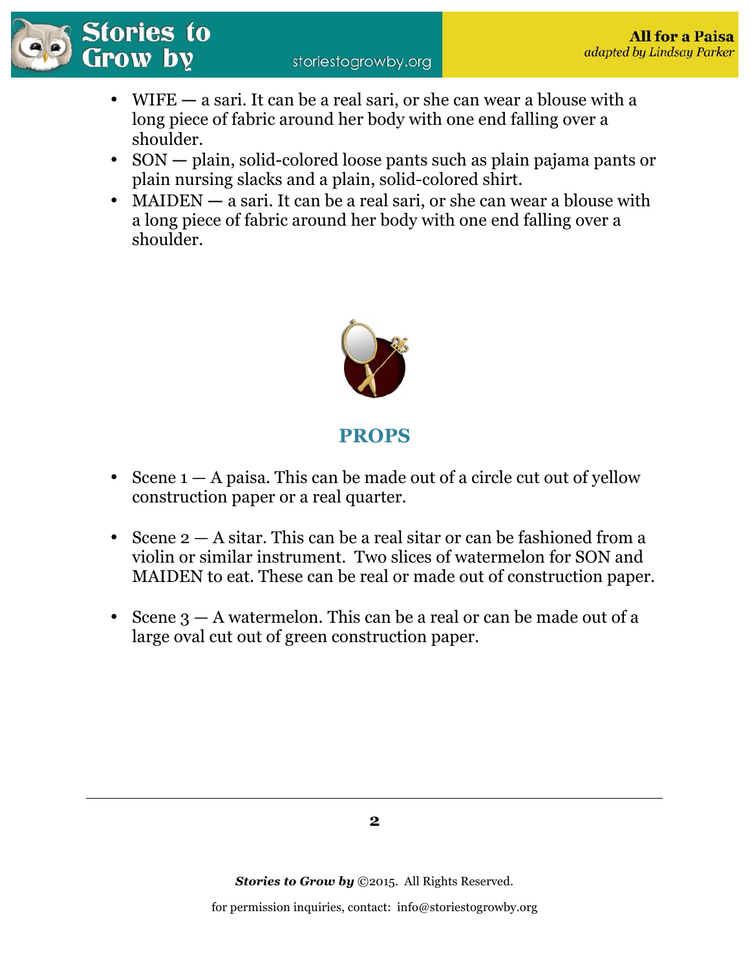

- WIFE a sari. It can be a real sari, or she can wear a blouse with a long piece of fabric around her body with one end falling over a shoulder.
- SON plain, solid-colored loose pants such as plain pajama pants or plain nursing slacks and a plain, solid-colored shirt.
- MAIDEN a sari. It can be a real sari, or she can wear a blouse with a long piece of fabric around her body with one end falling over a shoulder.



## **PROPS**

- Scene  $1 A$  paisa. This can be made out of a circle cut out of yellow construction paper or a real quarter.
- Scene 2 A sitar. This can be a real sitar or can be fashioned from a violin or similar instrument. Two slices of watermelon for SON and MAIDEN to eat. These can be real or made out of construction paper.
- Scene  $3 A$  watermelon. This can be a real or can be made out of a large oval cut out of green construction paper.